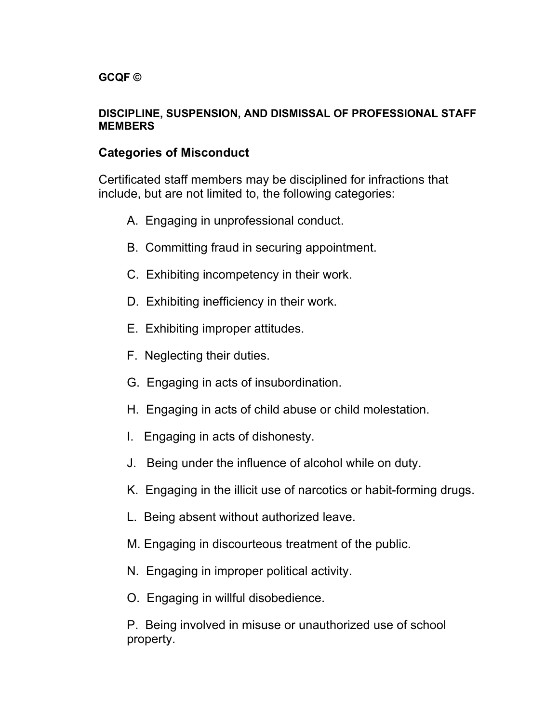#### **DISCIPLINE, SUSPENSION, AND DISMISSAL OF PROFESSIONAL STAFF MEMBERS**

## **Categories of Misconduct**

Certificated staff members may be disciplined for infractions that include, but are not limited to, the following categories:

- A. Engaging in unprofessional conduct.
- B. Committing fraud in securing appointment.
- C. Exhibiting incompetency in their work.
- D. Exhibiting inefficiency in their work.
- E. Exhibiting improper attitudes.
- F. Neglecting their duties.
- G. Engaging in acts of insubordination.
- H. Engaging in acts of child abuse or child molestation.
- I. Engaging in acts of dishonesty.
- J. Being under the influence of alcohol while on duty.
- K. Engaging in the illicit use of narcotics or habit-forming drugs.
- L. Being absent without authorized leave.
- M. Engaging in discourteous treatment of the public.
- N. Engaging in improper political activity.
- O. Engaging in willful disobedience.

P. Being involved in misuse or unauthorized use of school property.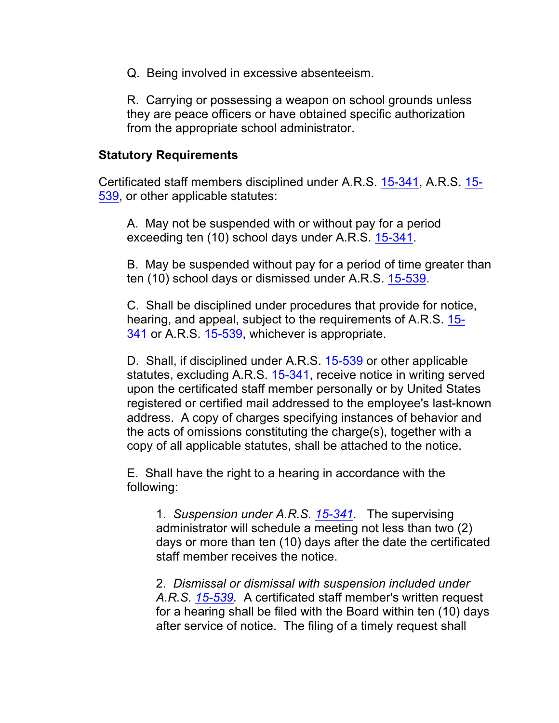Q. Being involved in excessive absenteeism.

R. Carrying or possessing a weapon on school grounds unless they are peace officers or have obtained specific authorization from the appropriate school administrator.

#### **Statutory Requirements**

Certificated staff members disciplined under A.R.S. 15-341, A.R.S. 15- 539, or other applicable statutes:

A. May not be suspended with or without pay for a period exceeding ten (10) school days under A.R.S. 15-341.

B. May be suspended without pay for a period of time greater than ten (10) school days or dismissed under A.R.S. 15-539.

C. Shall be disciplined under procedures that provide for notice, hearing, and appeal, subject to the requirements of A.R.S. 15- 341 or A.R.S. 15-539, whichever is appropriate.

D. Shall, if disciplined under A.R.S. 15-539 or other applicable statutes, excluding A.R.S. 15-341, receive notice in writing served upon the certificated staff member personally or by United States registered or certified mail addressed to the employee's last-known address. A copy of charges specifying instances of behavior and the acts of omissions constituting the charge(s), together with a copy of all applicable statutes, shall be attached to the notice.

E. Shall have the right to a hearing in accordance with the following:

1. *Suspension under A.R.S. 15-341.* The supervising administrator will schedule a meeting not less than two (2) days or more than ten (10) days after the date the certificated staff member receives the notice.

2. *Dismissal or dismissal with suspension included under A.R.S. 15-539.* A certificated staff member's written request for a hearing shall be filed with the Board within ten (10) days after service of notice. The filing of a timely request shall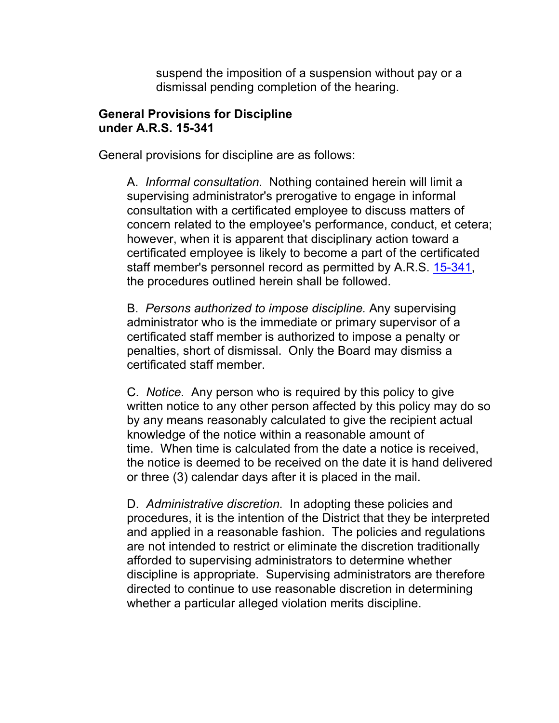suspend the imposition of a suspension without pay or a dismissal pending completion of the hearing.

#### **General Provisions for Discipline under A.R.S. 15-341**

General provisions for discipline are as follows:

A. *Informal consultation.* Nothing contained herein will limit a supervising administrator's prerogative to engage in informal consultation with a certificated employee to discuss matters of concern related to the employee's performance, conduct, et cetera; however, when it is apparent that disciplinary action toward a certificated employee is likely to become a part of the certificated staff member's personnel record as permitted by A.R.S. 15-341, the procedures outlined herein shall be followed.

B. *Persons authorized to impose discipline.* Any supervising administrator who is the immediate or primary supervisor of a certificated staff member is authorized to impose a penalty or penalties, short of dismissal. Only the Board may dismiss a certificated staff member.

C. *Notice.* Any person who is required by this policy to give written notice to any other person affected by this policy may do so by any means reasonably calculated to give the recipient actual knowledge of the notice within a reasonable amount of time. When time is calculated from the date a notice is received, the notice is deemed to be received on the date it is hand delivered or three (3) calendar days after it is placed in the mail.

D. *Administrative discretion.* In adopting these policies and procedures, it is the intention of the District that they be interpreted and applied in a reasonable fashion. The policies and regulations are not intended to restrict or eliminate the discretion traditionally afforded to supervising administrators to determine whether discipline is appropriate. Supervising administrators are therefore directed to continue to use reasonable discretion in determining whether a particular alleged violation merits discipline.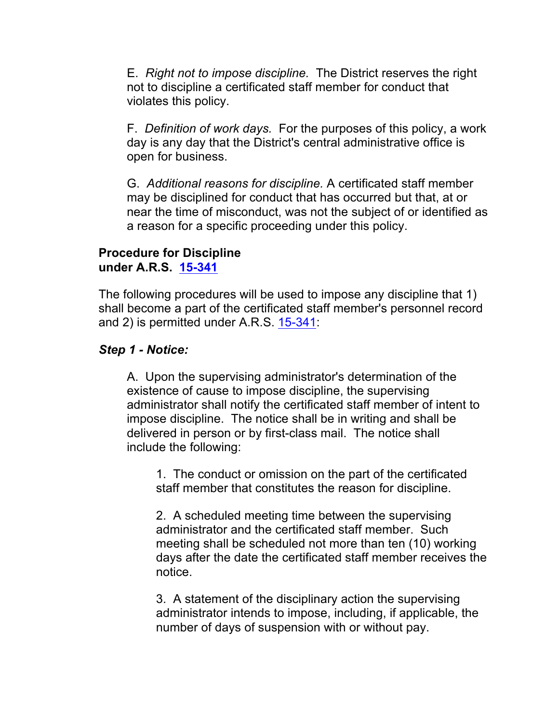E. *Right not to impose discipline.* The District reserves the right not to discipline a certificated staff member for conduct that violates this policy.

F. *Definition of work days.* For the purposes of this policy, a work day is any day that the District's central administrative office is open for business.

G. *Additional reasons for discipline.* A certificated staff member may be disciplined for conduct that has occurred but that, at or near the time of misconduct, was not the subject of or identified as a reason for a specific proceeding under this policy.

### **Procedure for Discipline under A.R.S. 15-341**

The following procedures will be used to impose any discipline that 1) shall become a part of the certificated staff member's personnel record and 2) is permitted under A.R.S. 15-341:

## *Step 1 - Notice:*

A. Upon the supervising administrator's determination of the existence of cause to impose discipline, the supervising administrator shall notify the certificated staff member of intent to impose discipline. The notice shall be in writing and shall be delivered in person or by first-class mail. The notice shall include the following:

1. The conduct or omission on the part of the certificated staff member that constitutes the reason for discipline.

2. A scheduled meeting time between the supervising administrator and the certificated staff member. Such meeting shall be scheduled not more than ten (10) working days after the date the certificated staff member receives the notice.

3. A statement of the disciplinary action the supervising administrator intends to impose, including, if applicable, the number of days of suspension with or without pay.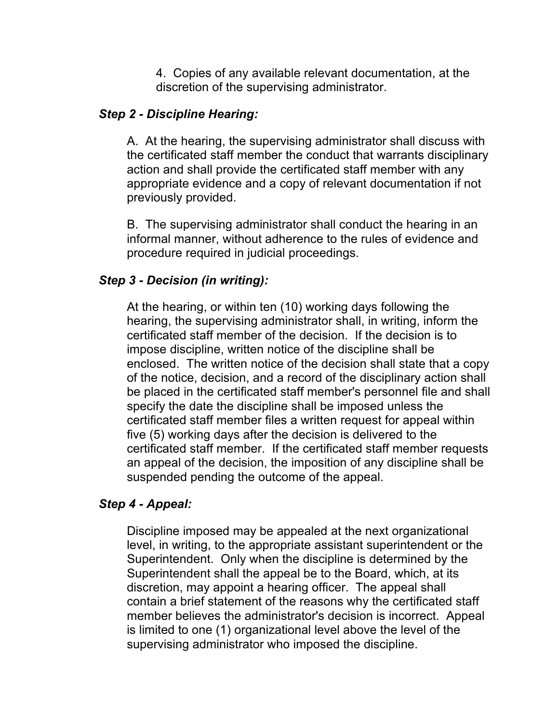4. Copies of any available relevant documentation, at the discretion of the supervising administrator.

### *Step 2 - Discipline Hearing:*

A. At the hearing, the supervising administrator shall discuss with the certificated staff member the conduct that warrants disciplinary action and shall provide the certificated staff member with any appropriate evidence and a copy of relevant documentation if not previously provided.

B. The supervising administrator shall conduct the hearing in an informal manner, without adherence to the rules of evidence and procedure required in judicial proceedings.

### *Step 3 - Decision (in writing):*

At the hearing, or within ten (10) working days following the hearing, the supervising administrator shall, in writing, inform the certificated staff member of the decision. If the decision is to impose discipline, written notice of the discipline shall be enclosed. The written notice of the decision shall state that a copy of the notice, decision, and a record of the disciplinary action shall be placed in the certificated staff member's personnel file and shall specify the date the discipline shall be imposed unless the certificated staff member files a written request for appeal within five (5) working days after the decision is delivered to the certificated staff member. If the certificated staff member requests an appeal of the decision, the imposition of any discipline shall be suspended pending the outcome of the appeal.

#### *Step 4 - Appeal:*

Discipline imposed may be appealed at the next organizational level, in writing, to the appropriate assistant superintendent or the Superintendent. Only when the discipline is determined by the Superintendent shall the appeal be to the Board, which, at its discretion, may appoint a hearing officer. The appeal shall contain a brief statement of the reasons why the certificated staff member believes the administrator's decision is incorrect. Appeal is limited to one (1) organizational level above the level of the supervising administrator who imposed the discipline.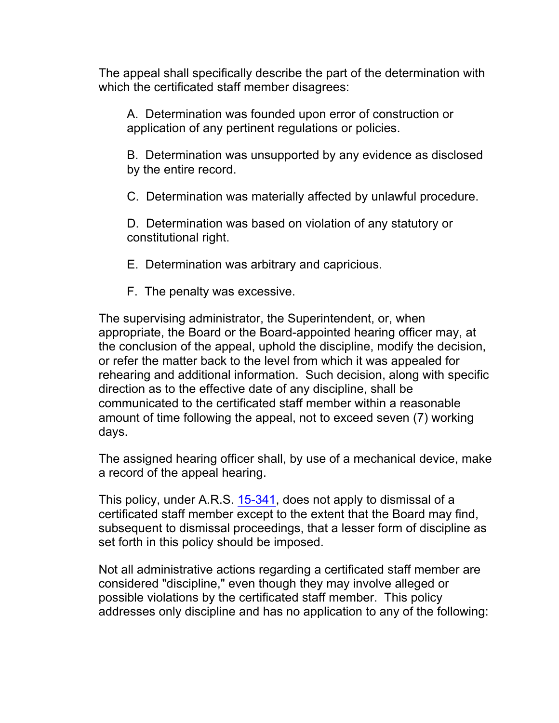The appeal shall specifically describe the part of the determination with which the certificated staff member disagrees:

A. Determination was founded upon error of construction or application of any pertinent regulations or policies.

B. Determination was unsupported by any evidence as disclosed by the entire record.

C. Determination was materially affected by unlawful procedure.

D. Determination was based on violation of any statutory or constitutional right.

- E. Determination was arbitrary and capricious.
- F. The penalty was excessive.

The supervising administrator, the Superintendent, or, when appropriate, the Board or the Board-appointed hearing officer may, at the conclusion of the appeal, uphold the discipline, modify the decision, or refer the matter back to the level from which it was appealed for rehearing and additional information. Such decision, along with specific direction as to the effective date of any discipline, shall be communicated to the certificated staff member within a reasonable amount of time following the appeal, not to exceed seven (7) working days.

The assigned hearing officer shall, by use of a mechanical device, make a record of the appeal hearing.

This policy, under A.R.S. 15-341, does not apply to dismissal of a certificated staff member except to the extent that the Board may find, subsequent to dismissal proceedings, that a lesser form of discipline as set forth in this policy should be imposed.

Not all administrative actions regarding a certificated staff member are considered "discipline," even though they may involve alleged or possible violations by the certificated staff member. This policy addresses only discipline and has no application to any of the following: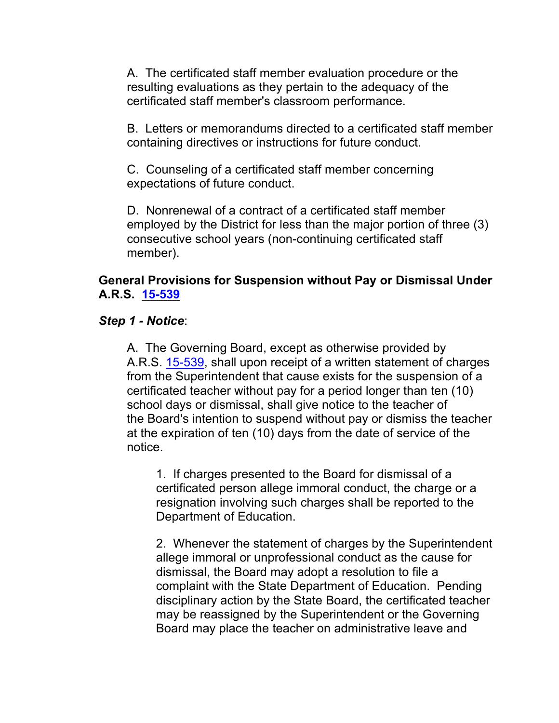A. The certificated staff member evaluation procedure or the resulting evaluations as they pertain to the adequacy of the certificated staff member's classroom performance.

B. Letters or memorandums directed to a certificated staff member containing directives or instructions for future conduct.

C. Counseling of a certificated staff member concerning expectations of future conduct.

D. Nonrenewal of a contract of a certificated staff member employed by the District for less than the major portion of three (3) consecutive school years (non-continuing certificated staff member).

## **General Provisions for Suspension without Pay or Dismissal Under A.R.S. 15-539**

### *Step 1 - Notice*:

A. The Governing Board, except as otherwise provided by A.R.S. 15-539, shall upon receipt of a written statement of charges from the Superintendent that cause exists for the suspension of a certificated teacher without pay for a period longer than ten (10) school days or dismissal, shall give notice to the teacher of the Board's intention to suspend without pay or dismiss the teacher at the expiration of ten (10) days from the date of service of the notice.

1. If charges presented to the Board for dismissal of a certificated person allege immoral conduct, the charge or a resignation involving such charges shall be reported to the Department of Education.

2. Whenever the statement of charges by the Superintendent allege immoral or unprofessional conduct as the cause for dismissal, the Board may adopt a resolution to file a complaint with the State Department of Education. Pending disciplinary action by the State Board, the certificated teacher may be reassigned by the Superintendent or the Governing Board may place the teacher on administrative leave and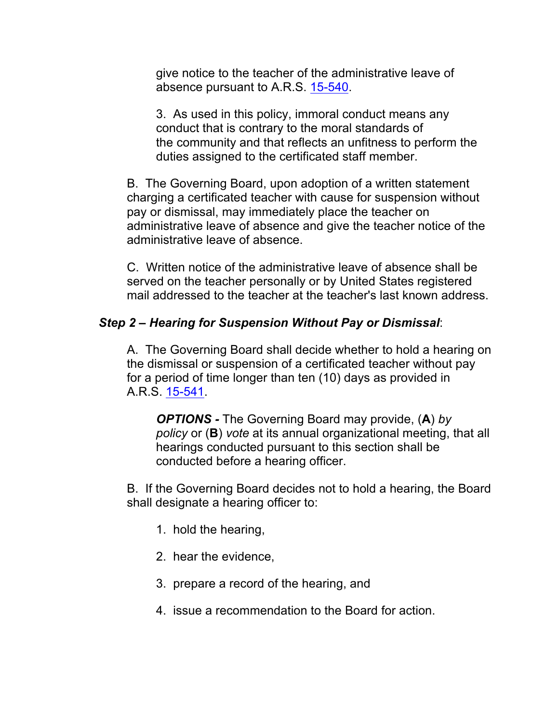give notice to the teacher of the administrative leave of absence pursuant to A.R.S. 15-540.

3. As used in this policy, immoral conduct means any conduct that is contrary to the moral standards of the community and that reflects an unfitness to perform the duties assigned to the certificated staff member.

B. The Governing Board, upon adoption of a written statement charging a certificated teacher with cause for suspension without pay or dismissal, may immediately place the teacher on administrative leave of absence and give the teacher notice of the administrative leave of absence.

C. Written notice of the administrative leave of absence shall be served on the teacher personally or by United States registered mail addressed to the teacher at the teacher's last known address.

## *Step 2 – Hearing for Suspension Without Pay or Dismissal*:

A. The Governing Board shall decide whether to hold a hearing on the dismissal or suspension of a certificated teacher without pay for a period of time longer than ten (10) days as provided in A.R.S. 15-541.

*OPTIONS -* The Governing Board may provide, (**A**) *by policy* or (**B**) *vote* at its annual organizational meeting, that all hearings conducted pursuant to this section shall be conducted before a hearing officer.

B. If the Governing Board decides not to hold a hearing, the Board shall designate a hearing officer to:

- 1. hold the hearing,
- 2. hear the evidence,
- 3. prepare a record of the hearing, and
- 4. issue a recommendation to the Board for action.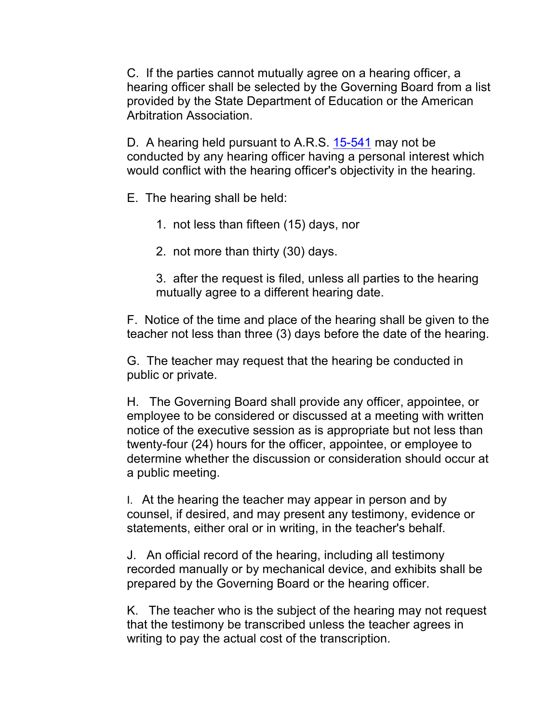C. If the parties cannot mutually agree on a hearing officer, a hearing officer shall be selected by the Governing Board from a list provided by the State Department of Education or the American Arbitration Association.

D. A hearing held pursuant to A.R.S. 15-541 may not be conducted by any hearing officer having a personal interest which would conflict with the hearing officer's objectivity in the hearing.

E. The hearing shall be held:

1. not less than fifteen (15) days, nor

2. not more than thirty (30) days.

3. after the request is filed, unless all parties to the hearing mutually agree to a different hearing date.

F. Notice of the time and place of the hearing shall be given to the teacher not less than three (3) days before the date of the hearing.

G. The teacher may request that the hearing be conducted in public or private.

H. The Governing Board shall provide any officer, appointee, or employee to be considered or discussed at a meeting with written notice of the executive session as is appropriate but not less than twenty-four (24) hours for the officer, appointee, or employee to determine whether the discussion or consideration should occur at a public meeting.

I. At the hearing the teacher may appear in person and by counsel, if desired, and may present any testimony, evidence or statements, either oral or in writing, in the teacher's behalf.

J. An official record of the hearing, including all testimony recorded manually or by mechanical device, and exhibits shall be prepared by the Governing Board or the hearing officer.

K. The teacher who is the subject of the hearing may not request that the testimony be transcribed unless the teacher agrees in writing to pay the actual cost of the transcription.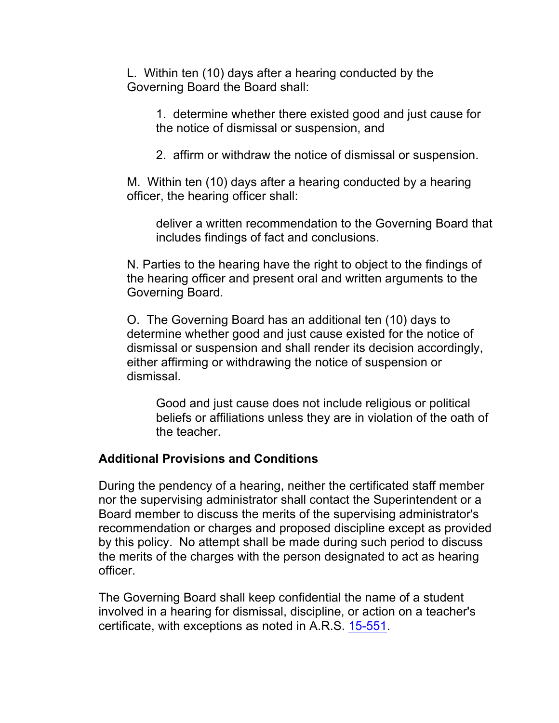L. Within ten (10) days after a hearing conducted by the Governing Board the Board shall:

1. determine whether there existed good and just cause for the notice of dismissal or suspension, and

2. affirm or withdraw the notice of dismissal or suspension.

M. Within ten (10) days after a hearing conducted by a hearing officer, the hearing officer shall:

deliver a written recommendation to the Governing Board that includes findings of fact and conclusions.

N. Parties to the hearing have the right to object to the findings of the hearing officer and present oral and written arguments to the Governing Board.

O. The Governing Board has an additional ten (10) days to determine whether good and just cause existed for the notice of dismissal or suspension and shall render its decision accordingly, either affirming or withdrawing the notice of suspension or dismissal.

Good and just cause does not include religious or political beliefs or affiliations unless they are in violation of the oath of the teacher.

# **Additional Provisions and Conditions**

During the pendency of a hearing, neither the certificated staff member nor the supervising administrator shall contact the Superintendent or a Board member to discuss the merits of the supervising administrator's recommendation or charges and proposed discipline except as provided by this policy. No attempt shall be made during such period to discuss the merits of the charges with the person designated to act as hearing officer.

The Governing Board shall keep confidential the name of a student involved in a hearing for dismissal, discipline, or action on a teacher's certificate, with exceptions as noted in A.R.S. 15-551.